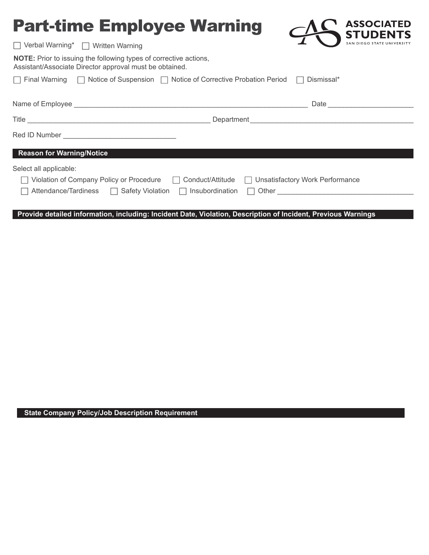| <b>Part-time Employee Warning</b>                                                                                                   | <b>ASSOCIATED</b><br><b>STUDENTS</b>                                                                                                                                                                                                |
|-------------------------------------------------------------------------------------------------------------------------------------|-------------------------------------------------------------------------------------------------------------------------------------------------------------------------------------------------------------------------------------|
| $\Box$ Verbal Warning* $\Box$ Written Warning                                                                                       | SAN DIEGO STATE UNIVERSITY                                                                                                                                                                                                          |
| <b>NOTE:</b> Prior to issuing the following types of corrective actions,<br>Assistant/Associate Director approval must be obtained. |                                                                                                                                                                                                                                     |
| $\Box$ Final Warning $\Box$ Notice of Suspension $\Box$ Notice of Corrective Probation Period $\Box$                                | Dismissal*                                                                                                                                                                                                                          |
|                                                                                                                                     |                                                                                                                                                                                                                                     |
|                                                                                                                                     | Date <u>in the second of the second second</u> in the second second second second second second second second second second second second second second second second second second second second second second second second secon |
|                                                                                                                                     |                                                                                                                                                                                                                                     |
|                                                                                                                                     |                                                                                                                                                                                                                                     |
| <b>Reason for Warning/Notice</b>                                                                                                    |                                                                                                                                                                                                                                     |
|                                                                                                                                     |                                                                                                                                                                                                                                     |
| Select all applicable:                                                                                                              |                                                                                                                                                                                                                                     |

|                                                                                         |  | □ Violation of Company Policy or Procedure □ Conduct/Attitude □ Unsatisfactory Work Performance |
|-----------------------------------------------------------------------------------------|--|-------------------------------------------------------------------------------------------------|
| $\Box$ Attendance/Tardiness $\Box$ Safety Violation $\Box$ Insubordination $\Box$ Other |  |                                                                                                 |

**Provide detailed information, including: Incident Date, Violation, Description of Incident, Previous Warnings**

**State Company Policy/Job Description Requirement**